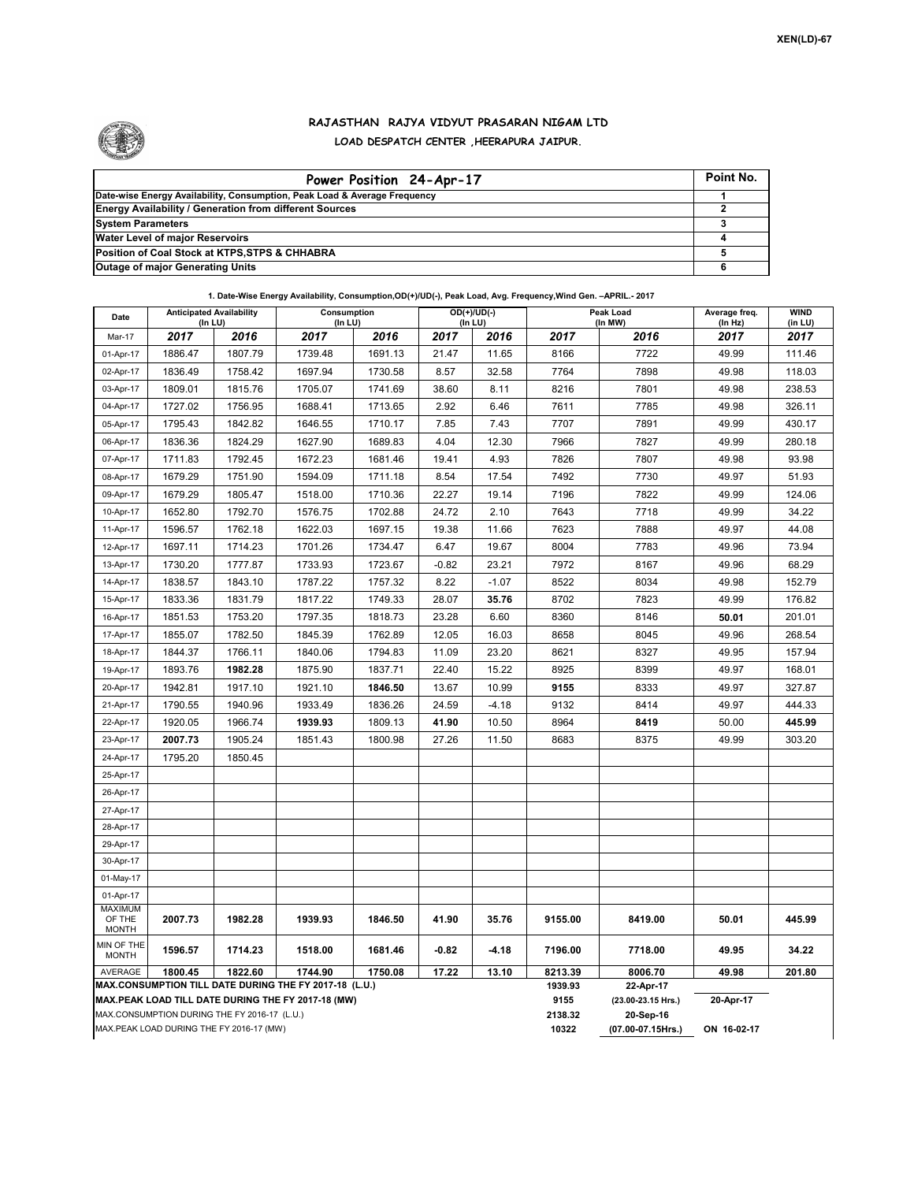

## **RAJASTHAN RAJYA VIDYUT PRASARAN NIGAM LTD LOAD DESPATCH CENTER ,HEERAPURA JAIPUR.**

| Power Position 24-Apr-17                                                  | Point No. |
|---------------------------------------------------------------------------|-----------|
| Date-wise Energy Availability, Consumption, Peak Load & Average Frequency |           |
| Energy Availability / Generation from different Sources                   |           |
| <b>System Parameters</b>                                                  |           |
| <b>Water Level of major Reservoirs</b>                                    |           |
| Position of Coal Stock at KTPS, STPS & CHHABRA                            |           |
| <b>Outage of major Generating Units</b>                                   |           |

**1. Date-Wise Energy Availability, Consumption,OD(+)/UD(-), Peak Load, Avg. Frequency,Wind Gen. –APRIL.- 2017**

| Date                                                                                               | <b>Anticipated Availability</b><br>$($ In LU $)$ |         | Consumption<br>(In LU)                                 |         |         | OD(+)/UD(-)<br>(In LU) |                 | Peak Load<br>(In MW)            |             | <b>WIND</b><br>(in LU) |  |
|----------------------------------------------------------------------------------------------------|--------------------------------------------------|---------|--------------------------------------------------------|---------|---------|------------------------|-----------------|---------------------------------|-------------|------------------------|--|
| Mar-17                                                                                             | 2017                                             | 2016    | 2017                                                   | 2016    | 2017    | 2016                   | 2017            | 2016                            | 2017        | 2017                   |  |
| 01-Apr-17                                                                                          | 1886.47                                          | 1807.79 | 1739.48                                                | 1691.13 | 21.47   | 11.65                  | 8166            | 7722                            | 49.99       | 111.46                 |  |
| 02-Apr-17                                                                                          | 1836.49                                          | 1758.42 | 1697.94                                                | 1730.58 | 8.57    | 32.58                  | 7764            | 7898                            | 49.98       | 118.03                 |  |
| 03-Apr-17                                                                                          | 1809.01                                          | 1815.76 | 1705.07                                                | 1741.69 | 38.60   | 8.11                   | 8216            | 7801                            | 49.98       | 238.53                 |  |
| 04-Apr-17                                                                                          | 1727.02                                          | 1756.95 | 1688.41                                                | 1713.65 | 2.92    | 6.46                   | 7611            | 7785                            | 49.98       | 326.11                 |  |
| 05-Apr-17                                                                                          | 1795.43                                          | 1842.82 | 1646.55                                                | 1710.17 | 7.85    | 7.43                   | 7707            | 7891                            | 49.99       | 430.17                 |  |
| 06-Apr-17                                                                                          | 1836.36                                          | 1824.29 | 1627.90                                                | 1689.83 | 4.04    | 12.30                  | 7966            | 7827                            | 49.99       | 280.18                 |  |
| 07-Apr-17                                                                                          | 1711.83                                          | 1792.45 | 1672.23                                                | 1681.46 | 19.41   | 4.93                   | 7826            | 7807                            | 49.98       | 93.98                  |  |
| 08-Apr-17                                                                                          | 1679.29                                          | 1751.90 | 1594.09                                                | 1711.18 | 8.54    | 17.54                  | 7492            | 7730                            | 49.97       | 51.93                  |  |
| 09-Apr-17                                                                                          | 1679.29                                          | 1805.47 | 1518.00                                                | 1710.36 | 22.27   | 19.14                  | 7196            | 7822                            | 49.99       | 124.06                 |  |
| 10-Apr-17                                                                                          | 1652.80                                          | 1792.70 | 1576.75                                                | 1702.88 | 24.72   | 2.10                   | 7643            | 7718                            | 49.99       | 34.22                  |  |
| 11-Apr-17                                                                                          | 1596.57                                          | 1762.18 | 1622.03                                                | 1697.15 | 19.38   | 11.66                  | 7623            | 7888                            | 49.97       | 44.08                  |  |
| 12-Apr-17                                                                                          | 1697.11                                          | 1714.23 | 1701.26                                                | 1734.47 | 6.47    | 19.67                  | 8004            | 7783                            | 49.96       | 73.94                  |  |
| 13-Apr-17                                                                                          | 1730.20                                          | 1777.87 | 1733.93                                                | 1723.67 | $-0.82$ | 23.21                  | 7972            | 8167                            | 49.96       | 68.29                  |  |
| 14-Apr-17                                                                                          | 1838.57                                          | 1843.10 | 1787.22                                                | 1757.32 | 8.22    | $-1.07$                | 8522            | 8034                            | 49.98       | 152.79                 |  |
| 15-Apr-17                                                                                          | 1833.36                                          | 1831.79 | 1817.22                                                | 1749.33 | 28.07   | 35.76                  | 8702            | 7823                            | 49.99       | 176.82                 |  |
| 16-Apr-17                                                                                          | 1851.53                                          | 1753.20 | 1797.35                                                | 1818.73 | 23.28   | 6.60                   | 8360            | 8146                            | 50.01       | 201.01                 |  |
| 17-Apr-17                                                                                          | 1855.07                                          | 1782.50 | 1845.39                                                | 1762.89 | 12.05   | 16.03                  | 8658            | 8045                            | 49.96       | 268.54                 |  |
| 18-Apr-17                                                                                          | 1844.37                                          | 1766.11 | 1840.06                                                | 1794.83 | 11.09   | 23.20                  | 8621            | 8327                            | 49.95       | 157.94                 |  |
| 19-Apr-17                                                                                          | 1893.76                                          | 1982.28 | 1875.90                                                | 1837.71 | 22.40   | 15.22                  | 8925            | 8399                            | 49.97       | 168.01                 |  |
| 20-Apr-17                                                                                          | 1942.81                                          | 1917.10 | 1921.10                                                | 1846.50 | 13.67   | 10.99                  | 9155            | 8333                            | 49.97       | 327.87                 |  |
| 21-Apr-17                                                                                          | 1790.55                                          | 1940.96 | 1933.49                                                | 1836.26 | 24.59   | $-4.18$                | 9132            | 8414                            | 49.97       | 444.33                 |  |
| 22-Apr-17                                                                                          | 1920.05                                          | 1966.74 | 1939.93                                                | 1809.13 | 41.90   | 10.50                  | 8964            | 8419                            | 50.00       | 445.99                 |  |
| 23-Apr-17                                                                                          | 2007.73                                          | 1905.24 | 1851.43                                                | 1800.98 | 27.26   | 11.50                  | 8683            | 8375                            | 49.99       | 303.20                 |  |
| 24-Apr-17                                                                                          | 1795.20                                          | 1850.45 |                                                        |         |         |                        |                 |                                 |             |                        |  |
| 25-Apr-17                                                                                          |                                                  |         |                                                        |         |         |                        |                 |                                 |             |                        |  |
| 26-Apr-17                                                                                          |                                                  |         |                                                        |         |         |                        |                 |                                 |             |                        |  |
| 27-Apr-17                                                                                          |                                                  |         |                                                        |         |         |                        |                 |                                 |             |                        |  |
| 28-Apr-17                                                                                          |                                                  |         |                                                        |         |         |                        |                 |                                 |             |                        |  |
| 29-Apr-17                                                                                          |                                                  |         |                                                        |         |         |                        |                 |                                 |             |                        |  |
| 30-Apr-17                                                                                          |                                                  |         |                                                        |         |         |                        |                 |                                 |             |                        |  |
| 01-May-17                                                                                          |                                                  |         |                                                        |         |         |                        |                 |                                 |             |                        |  |
| 01-Apr-17                                                                                          |                                                  |         |                                                        |         |         |                        |                 |                                 |             |                        |  |
| <b>MAXIMUM</b><br>OF THE<br><b>MONTH</b>                                                           | 2007.73                                          | 1982.28 | 1939.93                                                | 1846.50 | 41.90   | 35.76                  | 9155.00         | 8419.00                         | 50.01       | 445.99                 |  |
| MIN OF THE<br><b>MONTH</b>                                                                         | 1596.57                                          | 1714.23 | 1518.00                                                | 1681.46 | $-0.82$ | $-4.18$                | 7196.00         | 7718.00                         | 49.95       | 34.22                  |  |
| AVERAGE                                                                                            | 1800.45                                          | 1822.60 | 1744.90                                                | 1750.08 | 17.22   | 13.10                  | 8213.39         | 8006.70                         | 49.98       | 201.80                 |  |
|                                                                                                    |                                                  |         | MAX.CONSUMPTION TILL DATE DURING THE FY 2017-18 (L.U.) |         |         |                        | 1939.93<br>9155 | 22-Apr-17<br>(23.00-23.15 Hrs.) |             |                        |  |
| MAX.PEAK LOAD TILL DATE DURING THE FY 2017-18 (MW)<br>MAX.CONSUMPTION DURING THE FY 2016-17 (L.U.) |                                                  |         |                                                        |         |         |                        | 2138.32         | 20-Sep-16                       | 20-Apr-17   |                        |  |
| MAX.PEAK LOAD DURING THE FY 2016-17 (MW)                                                           |                                                  |         |                                                        |         |         |                        |                 | (07.00-07.15Hrs.)               | ON 16-02-17 |                        |  |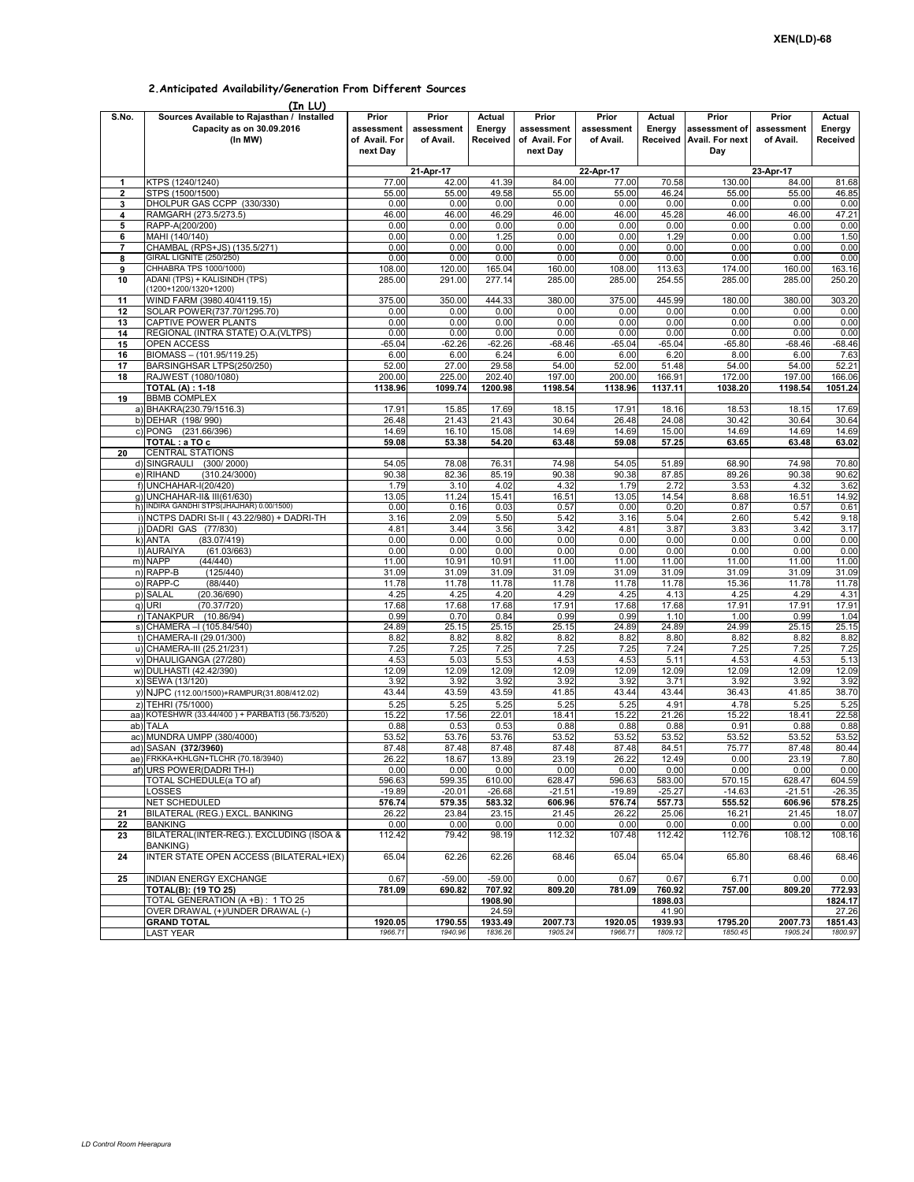## **2.Anticipated Availability/Generation From Different Sources**

|        | (In LU)                                                                            |                                                  |                                  |                              |                                                  |                                  |                   |                                                           |                                  |                              |
|--------|------------------------------------------------------------------------------------|--------------------------------------------------|----------------------------------|------------------------------|--------------------------------------------------|----------------------------------|-------------------|-----------------------------------------------------------|----------------------------------|------------------------------|
| S.No.  | Sources Available to Rajasthan / Installed<br>Capacity as on 30.09.2016<br>(In MW) | Prior<br>assessment<br>of Avail. For<br>next Day | Prior<br>assessment<br>of Avail. | Actual<br>Energy<br>Received | Prior<br>assessment<br>of Avail. For<br>next Day | Prior<br>assessment<br>of Avail. | Actual<br>Energy  | Prior<br>assessment of<br>Received Avail. For next<br>Day | Prior<br>assessment<br>of Avail. | Actual<br>Energy<br>Received |
|        |                                                                                    |                                                  | 21-Apr-17                        |                              |                                                  | 22-Apr-17                        |                   |                                                           | 23-Apr-17                        |                              |
| 1      | KTPS (1240/1240)                                                                   | 77.00                                            | 42.00                            | 41.39                        | 84.00                                            | 77.00                            | 70.58             | 130.00                                                    | 84.00                            | 81.68                        |
| 2      | STPS (1500/1500)                                                                   | 55.00                                            | 55.00                            | 49.58                        | 55.00                                            | 55.00                            | 46.24             | 55.00                                                     | 55.00                            | 46.85                        |
| 3      | DHOLPUR GAS CCPP (330/330)                                                         | 0.00                                             | 0.00                             | 0.00                         | 0.00                                             | 0.00                             | 0.00              | 0.00                                                      | 0.00                             | 0.00                         |
| 4      | RAMGARH (273.5/273.5)                                                              | 46.00                                            | 46.00                            | 46.29                        | 46.00                                            | 46.00                            | 45.28             | 46.00                                                     | 46.00                            | 47.21                        |
| 5      | RAPP-A(200/200)                                                                    | 0.00                                             | 0.00                             | 0.00                         | 0.00                                             | 0.00                             | 0.00              | 0.00                                                      | 0.00                             | 0.00                         |
| 6      | MAHI (140/140)                                                                     | 0.00                                             | 0.00                             | 1.25                         | 0.00                                             | 0.00                             | 1.29              | 0.00                                                      | 0.00                             | 1.50                         |
| 7      | CHAMBAL (RPS+JS) (135.5/271)                                                       | 0.00<br>0.00                                     | 0.00<br>0.00                     | 0.00<br>0.00                 | 0.00<br>0.00                                     | 0.00<br>0.00                     | 0.00<br>0.00      | 0.00<br>0.00                                              | 0.00<br>0.00                     | 0.00<br>0.00                 |
| 8<br>9 | GIRAL LIGNITE (250/250)<br>CHHABRA TPS 1000/1000)                                  | 108.00                                           | 120.00                           | 165.04                       | 160.00                                           | 108.00                           | 113.63            | 174.00                                                    | 160.00                           | 163.16                       |
| 10     | ADANI (TPS) + KALISINDH (TPS)<br>(1200+1200/1320+1200)                             | 285.00                                           | 291.00                           | 277.14                       | 285.00                                           | 285.00                           | 254.55            | 285.00                                                    | 285.00                           | 250.20                       |
| 11     | WIND FARM (3980.40/4119.15)                                                        | 375.00                                           | 350.00                           | 444.33                       | 380.00                                           | 375.00                           | 445.99            | 180.00                                                    | 380.00                           | 303.20                       |
| 12     | SOLAR POWER(737.70/1295.70)                                                        | 0.00                                             | 0.00                             | 0.00                         | 0.00                                             | 0.00                             | 0.00              | 0.00                                                      | 0.00                             | 0.00                         |
| 13     | CAPTIVE POWER PLANTS                                                               | 0.00                                             | 0.00                             | 0.00                         | 0.00                                             | 0.00                             | 0.00              | 0.00                                                      | 0.00                             | 0.00                         |
| 14     | REGIONAL (INTRA STATE) O.A.(VLTPS)                                                 | 0.00                                             | 0.00                             | 0.00                         | 0.00                                             | 0.00                             | 0.00              | 0.00                                                      | 0.00                             | 0.00                         |
| 15     | OPEN ACCESS                                                                        | $-65.04$                                         | -62.26                           | $-62.26$                     | $-68.46$                                         | $-65.04$                         | $-65.04$          | $-65.80$                                                  | $-68.46$                         | $-68.46$                     |
| 16     | BIOMASS - (101.95/119.25)                                                          | 6.00                                             | 6.00                             | 6.24                         | 6.00                                             | 6.00                             | 6.20              | 8.00                                                      | 6.00                             | 7.63                         |
| 17     | BARSINGHSAR LTPS(250/250)                                                          | 52.00                                            | 27.00                            | 29.58                        | 54.00                                            | 52.00                            | 51.48             | 54.00                                                     | 54.00                            | 52.21                        |
| 18     | RAJWEST (1080/1080)                                                                | 200.00                                           | 225.00                           | 202.40                       | 197.00                                           | 200.00                           | 166.91            | 172.00                                                    | 197.00                           | 166.06                       |
| 19     | <b>TOTAL (A): 1-18</b><br><b>BBMB COMPLEX</b>                                      | 1138.96                                          | 1099.74                          | 1200.98                      | 1198.54                                          | 1138.96                          | 1137.11           | 1038.20                                                   | 1198.54                          | 1051.24                      |
|        | a) BHAKRA(230.79/1516.3)                                                           | 17.91                                            | 15.85                            | 17.69                        | 18.15                                            | 17.91                            | 18.16             | 18.53                                                     | 18.15                            | 17.69                        |
|        | b) DEHAR (198/990)                                                                 | 26.48                                            | 21.43                            | 21.43                        | 30.64                                            | 26.48                            | 24.08             | 30.42                                                     | 30.64                            | 30.64                        |
|        | c) PONG (231.66/396)                                                               | 14.69                                            | 16.10                            | 15.08                        | 14.69                                            | 14.69                            | 15.00             | 14.69                                                     | 14.69                            | 14.69                        |
|        | TOTAL : a TO c                                                                     | 59.08                                            | 53.38                            | 54.20                        | 63.48                                            | 59.08                            | 57.25             | 63.65                                                     | 63.48                            | 63.02                        |
| 20     | <b>CENTRAL STATIONS</b>                                                            |                                                  |                                  |                              |                                                  |                                  |                   |                                                           |                                  |                              |
|        | d) SINGRAULI<br>(300/2000)                                                         | 54.05                                            | 78.08                            | 76.31                        | 74.98                                            | 54.05                            | 51.89             | 68.90                                                     | 74.98                            | 70.80                        |
|        | (310.24/3000)<br>e) RIHAND                                                         | 90.38                                            | 82.36                            | 85.19                        | 90.38                                            | 90.38                            | 87.85             | 89.26                                                     | 90.38                            | 90.62                        |
|        | f) UNCHAHAR-I(20/420)                                                              | 1.79                                             | 3.10                             | 4.02                         | 4.32                                             | 1.79                             | 2.72              | 3.53                                                      | 4.32                             | 3.62                         |
|        | g) UNCHAHAR-II& III(61/630)                                                        | 13.05                                            | 11.24                            | 15.41                        | 16.51                                            | 13.05                            | 14.54             | 8.68                                                      | 16.51                            | 14.92                        |
|        | h) INDIRA GANDHI STPS(JHAJHAR) 0.00/1500)                                          | 0.00                                             | 0.16                             | 0.03                         | 0.57                                             | 0.00                             | 0.20              | 0.87                                                      | 0.57                             | 0.61                         |
|        | i) NCTPS DADRI St-II (43.22/980) + DADRI-TH<br>i) DADRI GAS (77/830)               | 3.16<br>4.81                                     | 2.09<br>3.44                     | 5.50<br>3.56                 | 5.42<br>3.42                                     | 3.16<br>4.81                     | 5.04<br>3.87      | 2.60<br>3.83                                              | 5.42<br>3.42                     | 9.18<br>3.17                 |
|        | k) ANTA<br>(83.07/419)                                                             | 0.00                                             | 0.00                             | 0.00                         | 0.00                                             | 0.00                             | 0.00              | 0.00                                                      | 0.00                             | 0.00                         |
|        | I) AURAIYA<br>(61.03/663)                                                          | 0.00                                             | 0.00                             | 0.00                         | 0.00                                             | 0.00                             | 0.00              | 0.00                                                      | 0.00                             | 0.00                         |
|        | m) NAPP<br>(44/440)                                                                | 11.00                                            | 10.91                            | 10.91                        | 11.00                                            | 11.00                            | 11.00             | 11.00                                                     | 11.00                            | 11.00                        |
|        | n) RAPP-B<br>(125/440)                                                             | 31.09                                            | 31.09                            | 31.09                        | 31.09                                            | 31.09                            | 31.09             | 31.09                                                     | 31.09                            | 31.09                        |
|        | o) RAPP-C<br>(88/440)                                                              | 11.78                                            | 11.78                            | 11.78                        | 11.78                                            | 11.78                            | 11.78             | 15.36                                                     | 11.78                            | 11.78                        |
|        | (20.36/690)<br>p) SALAL                                                            | 4.25                                             | 4.25                             | 4.20                         | 4.29                                             | 4.25                             | 4.13              | 4.25                                                      | 4.29                             | 4.31                         |
|        | (70.37/720)<br>q) URI                                                              | 17.68                                            | 17.68                            | 17.68                        | 17.91                                            | 17.68                            | 17.68             | 17.91                                                     | 17.91                            | 17.91                        |
|        | r) TANAKPUR (10.86/94)                                                             | 0.99                                             | 0.70                             | 0.84                         | 0.99                                             | 0.99                             | 1.10              | 1.00                                                      | 0.99                             | 1.04                         |
|        | s) CHAMERA - (105.84/540)                                                          | 24.89                                            | 25.15                            | 25.15                        | 25.15                                            | 24.89                            | 24.89             | 24.99                                                     | 25.15                            | 25.15                        |
|        | t) CHAMERA-II (29.01/300)<br>u) CHAMERA-III (25.21/231)                            | 8.82<br>7.25                                     | 8.82<br>7.25                     | 8.82<br>7.25                 | 8.82<br>7.25                                     | 8.82<br>7.25                     | 8.80<br>7.24      | 8.82<br>7.25                                              | 8.82<br>7.25                     | 8.82<br>7.25                 |
|        | v) DHAULIGANGA (27/280)                                                            | 4.53                                             | 5.03                             | 5.53                         | 4.53                                             | 4.53                             | 5.11              | 4.53                                                      | 4.53                             | 5.13                         |
|        | w) DULHASTI (42.42/390)                                                            | 12.09                                            | 12.09                            | 12.09                        | 12.09                                            | 12.09                            | 12.09             | 12.09                                                     | 12.09                            | 12.09                        |
|        | x) SEWA (13/120)                                                                   | 3.92                                             | 3.92                             | 3.92                         | 3.92                                             | 3.92                             | 3.71              | 3.92                                                      | 3.92                             | 3.92                         |
|        | y) NJPC (112.00/1500)+RAMPUR(31.808/412.02)                                        | 43.44                                            | 43.59                            | 43.59                        | 41.85                                            | 43.44                            | 43.44             | 36.43                                                     | 41.85                            | 38.70                        |
|        | z) TEHRI (75/1000)                                                                 | 5.25                                             | 5.25                             | 5.25                         | 5.25                                             | 5.25                             | 4.91              | 4.78                                                      | 5.25                             | 5.25                         |
|        | aa) KOTESHWR (33.44/400) + PARBATI3 (56.73/520)                                    | 15.22                                            | 17.56                            | 22.01                        | 18.41                                            | 15.22                            | 21.26             | 15.22                                                     | 18.41                            | 22.58                        |
|        | ab) TALA                                                                           | 0.88                                             | 0.53                             | 0.53                         | 0.88                                             | 0.88                             | 0.88              | 0.91                                                      | 0.88                             | 0.88                         |
| ac)    | MUNDRA UMPP (380/4000)                                                             | 53.52                                            | 53.76                            | 53.76                        | 53.52                                            | 53.52                            | 53.52             | 53.52                                                     | 53.52                            | 53.52                        |
|        | ad) SASAN (372/3960)                                                               | 87.48                                            | 87.48                            | 87.48                        | 87.48                                            | 87.48                            | 84.51             | 75.77                                                     | 87.48                            | 80.44                        |
|        | ae) FRKKA+KHLGN+TLCHR (70.18/3940)<br>af) URS POWER(DADRI TH-I)                    | 26.22<br>0.00                                    | 18.67<br>0.00                    | 13.89<br>0.00                | 23.19<br>0.00                                    | 26.22<br>0.00                    | 12.49<br>0.00     | 0.00<br>0.00                                              | 23.19<br>0.00                    | 7.80<br>0.00                 |
|        | TOTAL SCHEDULE(a TO af)                                                            | 596.63                                           | 599.35                           | 610.00                       | 628.47                                           | 596.63                           | 583.00            | 570.15                                                    | 628.47                           | 604.59                       |
|        | LOSSES                                                                             | $-19.89$                                         | $-20.01$                         | $-26.68$                     | $-21.51$                                         | $-19.89$                         | $-25.27$          | $-14.63$                                                  | $-21.51$                         | $-26.35$                     |
|        | <b>NET SCHEDULED</b>                                                               | 576.74                                           | 579.35                           | 583.32                       | 606.96                                           | 576.74                           | 557.73            | 555.52                                                    | 606.96                           | 578.25                       |
| 21     | BILATERAL (REG.) EXCL. BANKING                                                     | 26.22                                            | 23.84                            | 23.15                        | 21.45                                            | 26.22                            | 25.06             | 16.21                                                     | 21.45                            | 18.07                        |
| 22     | <b>BANKING</b>                                                                     | 0.00                                             | 0.00                             | 0.00                         | 0.00                                             | 0.00                             | 0.00              | 0.00                                                      | 0.00                             | 0.00                         |
| 23     | BILATERAL(INTER-REG.). EXCLUDING (ISOA &                                           | 112.42                                           | 79.42                            | 98.19                        | 112.32                                           | 107.48                           | 112.42            | 112.76                                                    | 108.12                           | 108.16                       |
| 24     | <b>BANKING)</b><br><b>INTER STATE OPEN ACCESS (BILATERAL+IEX)</b>                  | 65.04                                            | 62.26                            | 62.26                        | 68.46                                            | 65.04                            | 65.04             | 65.80                                                     | 68.46                            | 68.46                        |
|        |                                                                                    |                                                  |                                  |                              |                                                  |                                  |                   |                                                           |                                  |                              |
| 25     | INDIAN ENERGY EXCHANGE                                                             | 0.67                                             | $-59.00$                         | $-59.00$                     | 0.00                                             | 0.67                             | 0.67              | 6.71                                                      | 0.00                             | 0.00                         |
|        | TOTAL(B): (19 TO 25)<br>TOTAL GENERATION (A +B): 1 TO 25                           | 781.09                                           | 690.82                           | 707.92<br>1908.90            | 809.20                                           | 781.09                           | 760.92<br>1898.03 | 757.00                                                    | 809.20                           | 772.93<br>1824.17            |
|        | OVER DRAWAL (+)/UNDER DRAWAL (-)                                                   |                                                  |                                  | 24.59                        |                                                  |                                  | 41.90             |                                                           |                                  | 27.26                        |
|        | <b>GRAND TOTAL</b>                                                                 | 1920.05                                          | 1790.55                          | 1933.49                      | 2007.73                                          | 1920.05                          | 1939.93           | 1795.20                                                   | 2007.73                          | 1851.43                      |
|        | <b>LAST YEAR</b>                                                                   | 1966.71                                          | 1940.96                          | 1836.26                      | 1905.24                                          | 1966.71                          | 1809.12           | 1850.45                                                   | 1905.24                          | 1800.97                      |